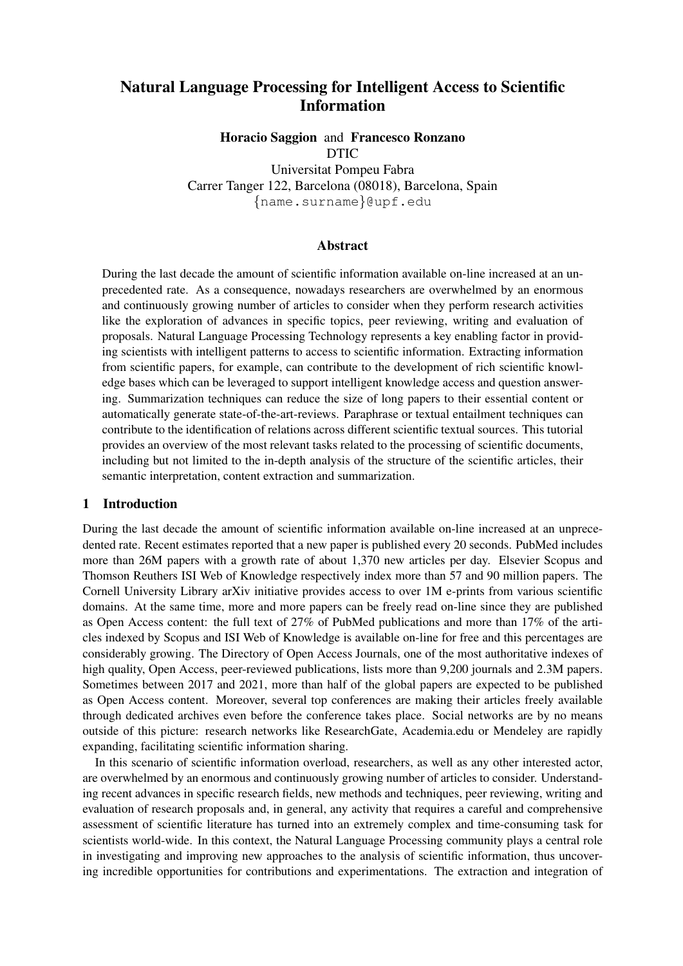# Natural Language Processing for Intelligent Access to Scientific Information

Horacio Saggion and Francesco Ronzano DTIC

Universitat Pompeu Fabra Carrer Tanger 122, Barcelona (08018), Barcelona, Spain {name.surname}@upf.edu

#### Abstract

During the last decade the amount of scientific information available on-line increased at an unprecedented rate. As a consequence, nowadays researchers are overwhelmed by an enormous and continuously growing number of articles to consider when they perform research activities like the exploration of advances in specific topics, peer reviewing, writing and evaluation of proposals. Natural Language Processing Technology represents a key enabling factor in providing scientists with intelligent patterns to access to scientific information. Extracting information from scientific papers, for example, can contribute to the development of rich scientific knowledge bases which can be leveraged to support intelligent knowledge access and question answering. Summarization techniques can reduce the size of long papers to their essential content or automatically generate state-of-the-art-reviews. Paraphrase or textual entailment techniques can contribute to the identification of relations across different scientific textual sources. This tutorial provides an overview of the most relevant tasks related to the processing of scientific documents, including but not limited to the in-depth analysis of the structure of the scientific articles, their semantic interpretation, content extraction and summarization.

#### 1 Introduction

During the last decade the amount of scientific information available on-line increased at an unprecedented rate. Recent estimates reported that a new paper is published every 20 seconds. PubMed includes more than 26M papers with a growth rate of about 1,370 new articles per day. Elsevier Scopus and Thomson Reuthers ISI Web of Knowledge respectively index more than 57 and 90 million papers. The Cornell University Library arXiv initiative provides access to over 1M e-prints from various scientific domains. At the same time, more and more papers can be freely read on-line since they are published as Open Access content: the full text of 27% of PubMed publications and more than 17% of the articles indexed by Scopus and ISI Web of Knowledge is available on-line for free and this percentages are considerably growing. The Directory of Open Access Journals, one of the most authoritative indexes of high quality, Open Access, peer-reviewed publications, lists more than 9,200 journals and 2.3M papers. Sometimes between 2017 and 2021, more than half of the global papers are expected to be published as Open Access content. Moreover, several top conferences are making their articles freely available through dedicated archives even before the conference takes place. Social networks are by no means outside of this picture: research networks like ResearchGate, Academia.edu or Mendeley are rapidly expanding, facilitating scientific information sharing.

In this scenario of scientific information overload, researchers, as well as any other interested actor, are overwhelmed by an enormous and continuously growing number of articles to consider. Understanding recent advances in specific research fields, new methods and techniques, peer reviewing, writing and evaluation of research proposals and, in general, any activity that requires a careful and comprehensive assessment of scientific literature has turned into an extremely complex and time-consuming task for scientists world-wide. In this context, the Natural Language Processing community plays a central role in investigating and improving new approaches to the analysis of scientific information, thus uncovering incredible opportunities for contributions and experimentations. The extraction and integration of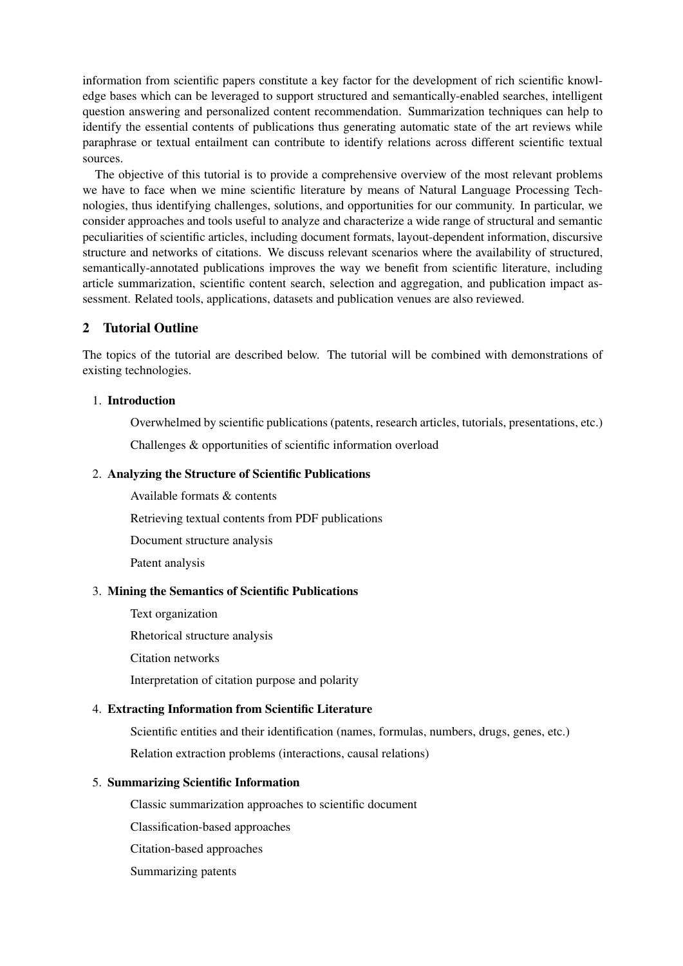information from scientific papers constitute a key factor for the development of rich scientific knowledge bases which can be leveraged to support structured and semantically-enabled searches, intelligent question answering and personalized content recommendation. Summarization techniques can help to identify the essential contents of publications thus generating automatic state of the art reviews while paraphrase or textual entailment can contribute to identify relations across different scientific textual sources.

The objective of this tutorial is to provide a comprehensive overview of the most relevant problems we have to face when we mine scientific literature by means of Natural Language Processing Technologies, thus identifying challenges, solutions, and opportunities for our community. In particular, we consider approaches and tools useful to analyze and characterize a wide range of structural and semantic peculiarities of scientific articles, including document formats, layout-dependent information, discursive structure and networks of citations. We discuss relevant scenarios where the availability of structured, semantically-annotated publications improves the way we benefit from scientific literature, including article summarization, scientific content search, selection and aggregation, and publication impact assessment. Related tools, applications, datasets and publication venues are also reviewed.

## 2 Tutorial Outline

The topics of the tutorial are described below. The tutorial will be combined with demonstrations of existing technologies.

#### 1. Introduction

Overwhelmed by scientific publications (patents, research articles, tutorials, presentations, etc.)

Challenges & opportunities of scientific information overload

#### 2. Analyzing the Structure of Scientific Publications

Available formats & contents

Retrieving textual contents from PDF publications

Document structure analysis

Patent analysis

#### 3. Mining the Semantics of Scientific Publications

Text organization

Rhetorical structure analysis

Citation networks

Interpretation of citation purpose and polarity

### 4. Extracting Information from Scientific Literature

Scientific entities and their identification (names, formulas, numbers, drugs, genes, etc.) Relation extraction problems (interactions, causal relations)

#### 5. Summarizing Scientific Information

Classic summarization approaches to scientific document

Classification-based approaches

Citation-based approaches

Summarizing patents